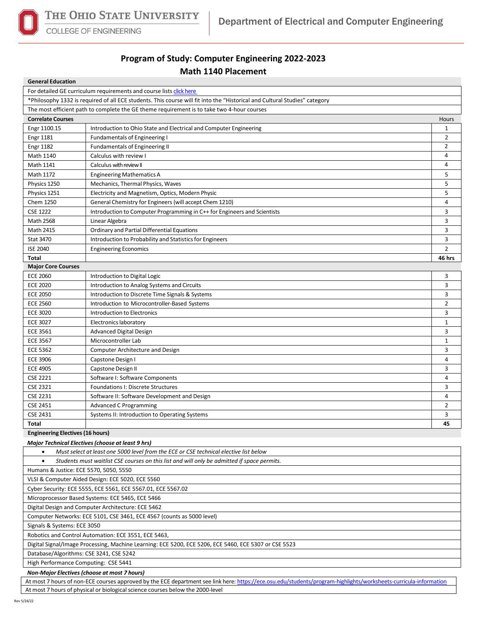

**COLLEGE OF ENGINEERING** 

## **Program of Study: Computer Engineering 2022-2023 Math 1140 Placement**

| <b>General Education</b>                                                                                                                                          |                                                                          |                |  |  |  |  |
|-------------------------------------------------------------------------------------------------------------------------------------------------------------------|--------------------------------------------------------------------------|----------------|--|--|--|--|
| For detailed GE curriculum requirements and course lists click here                                                                                               |                                                                          |                |  |  |  |  |
| *Philosophy 1332 is required of all ECE students. This course will fit into the "Historical and Cultural Studies" category                                        |                                                                          |                |  |  |  |  |
| The most efficient path to complete the GE theme requirement is to take two 4-hour courses                                                                        |                                                                          |                |  |  |  |  |
| <b>Correlate Courses</b>                                                                                                                                          |                                                                          | Hours          |  |  |  |  |
| Engr 1100.15                                                                                                                                                      | Introduction to Ohio State and Electrical and Computer Engineering       | 1              |  |  |  |  |
| <b>Engr 1181</b>                                                                                                                                                  | <b>Fundamentals of Engineering I</b>                                     | $\overline{2}$ |  |  |  |  |
| <b>Engr 1182</b>                                                                                                                                                  | Fundamentals of Engineering II                                           | $\overline{2}$ |  |  |  |  |
| Math 1140                                                                                                                                                         | Calculus with review I                                                   | 4              |  |  |  |  |
| Math 1141                                                                                                                                                         | Calculus with review II                                                  | 4              |  |  |  |  |
| Math 1172                                                                                                                                                         | <b>Engineering Mathematics A</b>                                         | 5              |  |  |  |  |
| Physics 1250                                                                                                                                                      | Mechanics, Thermal Physics, Waves                                        | 5              |  |  |  |  |
| Physics 1251                                                                                                                                                      | Electricity and Magnetism, Optics, Modern Physic                         | 5              |  |  |  |  |
| Chem 1250                                                                                                                                                         | General Chemistry for Engineers (will accept Chem 1210)                  | 4              |  |  |  |  |
| <b>CSE 1222</b>                                                                                                                                                   | Introduction to Computer Programming in C++ for Engineers and Scientists | 3              |  |  |  |  |
| Math 2568                                                                                                                                                         | Linear Algebra                                                           | 3              |  |  |  |  |
| Math 2415                                                                                                                                                         | Ordinary and Partial Differential Equations                              | 3              |  |  |  |  |
| <b>Stat 3470</b>                                                                                                                                                  | Introduction to Probability and Statistics for Engineers                 | 3              |  |  |  |  |
| <b>ISE 2040</b>                                                                                                                                                   | <b>Engineering Economics</b>                                             | $\overline{2}$ |  |  |  |  |
| Total                                                                                                                                                             |                                                                          | 46 hrs         |  |  |  |  |
| <b>Major Core Courses</b>                                                                                                                                         |                                                                          |                |  |  |  |  |
| <b>ECE 2060</b>                                                                                                                                                   | Introduction to Digital Logic                                            | 3              |  |  |  |  |
| <b>ECE 2020</b>                                                                                                                                                   | Introduction to Analog Systems and Circuits                              | 3              |  |  |  |  |
| <b>ECE 2050</b>                                                                                                                                                   | Introduction to Discrete Time Signals & Systems                          | 3              |  |  |  |  |
| <b>ECE 2560</b>                                                                                                                                                   | Introduction to Microcontroller-Based Systems                            | $\overline{2}$ |  |  |  |  |
| <b>ECE 3020</b>                                                                                                                                                   | Introduction to Electronics                                              | 3              |  |  |  |  |
| <b>ECE 3027</b>                                                                                                                                                   | Electronics laboratory                                                   | $\mathbf{1}$   |  |  |  |  |
| <b>ECE 3561</b>                                                                                                                                                   | Advanced Digital Design                                                  | 3              |  |  |  |  |
| <b>ECE 3567</b>                                                                                                                                                   | Microcontroller Lab                                                      | $\mathbf{1}$   |  |  |  |  |
| <b>ECE 5362</b>                                                                                                                                                   | <b>Computer Architecture and Design</b>                                  | 3              |  |  |  |  |
| <b>ECE 3906</b>                                                                                                                                                   | Capstone Design I                                                        | $\overline{4}$ |  |  |  |  |
| <b>ECE 4905</b>                                                                                                                                                   | Capstone Design II                                                       | 3              |  |  |  |  |
| <b>CSE 2221</b>                                                                                                                                                   | Software I: Software Components                                          | 4              |  |  |  |  |
| <b>CSE 2321</b>                                                                                                                                                   | <b>Foundations I: Discrete Structures</b>                                | 3              |  |  |  |  |
| <b>CSE 2231</b>                                                                                                                                                   | Software II: Software Development and Design                             | 4              |  |  |  |  |
| <b>CSE 2451</b>                                                                                                                                                   | <b>Advanced C Programming</b>                                            | $\overline{2}$ |  |  |  |  |
| <b>CSE 2431</b>                                                                                                                                                   | Systems II: Introduction to Operating Systems                            | 3              |  |  |  |  |
| <b>Total</b>                                                                                                                                                      |                                                                          | 45             |  |  |  |  |
|                                                                                                                                                                   |                                                                          |                |  |  |  |  |
| <b>Engineering Electives (16 hours)</b>                                                                                                                           |                                                                          |                |  |  |  |  |
| Major Technical Electives (choose at least 9 hrs)                                                                                                                 |                                                                          |                |  |  |  |  |
| Must select at least one 5000 level from the ECE or CSE technical elective list below<br>$\bullet$                                                                |                                                                          |                |  |  |  |  |
| Students must waitlist CSE courses on this list and will only be admitted if space permits.<br>$\bullet$                                                          |                                                                          |                |  |  |  |  |
| Humans & Justice: ECE 5570, 5050, 5550                                                                                                                            |                                                                          |                |  |  |  |  |
| VLSI & Computer Aided Design: ECE 5020, ECE 5560                                                                                                                  |                                                                          |                |  |  |  |  |
| Cyber Security: ECE 5555, ECE 5561, ECE 5567.01, ECE 5567.02                                                                                                      |                                                                          |                |  |  |  |  |
| Microprocessor Based Systems: ECE 5465, ECE 5466                                                                                                                  |                                                                          |                |  |  |  |  |
| Digital Design and Computer Architecture: ECE 5462                                                                                                                |                                                                          |                |  |  |  |  |
| Computer Networks: ECE 5101, CSE 3461, ECE 4567 (counts as 5000 level)                                                                                            |                                                                          |                |  |  |  |  |
| Signals & Systems: ECE 3050                                                                                                                                       |                                                                          |                |  |  |  |  |
| Robotics and Control Automation: ECE 3551, ECE 5463,                                                                                                              |                                                                          |                |  |  |  |  |
| Digital Signal/Image Processing, Machine Learning: ECE 5200, ECE 5206, ECE 5460, ECE 5307 or CSE 5523                                                             |                                                                          |                |  |  |  |  |
| Database/Algorithms: CSE 3241, CSE 5242                                                                                                                           |                                                                          |                |  |  |  |  |
| High Performance Computing: CSE 5441                                                                                                                              |                                                                          |                |  |  |  |  |
| Non-Major Electives (choose at most 7 hours)                                                                                                                      |                                                                          |                |  |  |  |  |
| At most 7 hours of non-ECE courses approved by the ECE department see link here: https://ece.osu.edu/students/program-highlights/worksheets-curricula-information |                                                                          |                |  |  |  |  |

At most 7 hours of physical or biological science courses below the 2000-level